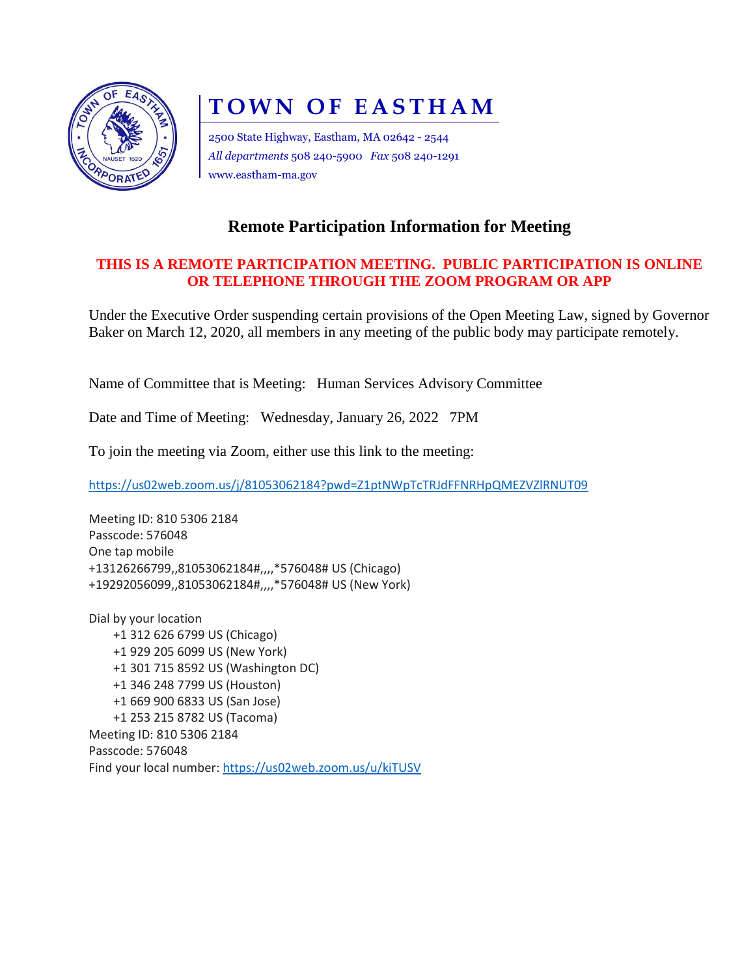

## **TOWN OF EASTHAM**

2500 State Highway, Eastham, MA 02642 - 2544 *All departments* 508 240-5900 *Fax* 508 240-1291 www.eastham-ma.gov

## **Remote Participation Information for Meeting**

## **THIS IS A REMOTE PARTICIPATION MEETING. PUBLIC PARTICIPATION IS ONLINE OR TELEPHONE THROUGH THE ZOOM PROGRAM OR APP**

Under the Executive Order suspending certain provisions of the Open Meeting Law, signed by Governor Baker on March 12, 2020, all members in any meeting of the public body may participate remotely.

Name of Committee that is Meeting: Human Services Advisory Committee

Date and Time of Meeting: Wednesday, January 26, 2022 7PM

To join the meeting via Zoom, either use this link to the meeting:

<https://us02web.zoom.us/j/81053062184?pwd=Z1ptNWpTcTRJdFFNRHpQMEZVZlRNUT09>

Meeting ID: 810 5306 2184 Passcode: 576048 One tap mobile +13126266799,,81053062184#,,,,\*576048# US (Chicago) +19292056099,,81053062184#,,,,\*576048# US (New York)

Dial by your location +1 312 626 6799 US (Chicago) +1 929 205 6099 US (New York) +1 301 715 8592 US (Washington DC) +1 346 248 7799 US (Houston) +1 669 900 6833 US (San Jose) +1 253 215 8782 US (Tacoma) Meeting ID: 810 5306 2184 Passcode: 576048 Find your local number[: https://us02web.zoom.us/u/kiTUSV](https://us02web.zoom.us/u/kiTUSVnaQ)